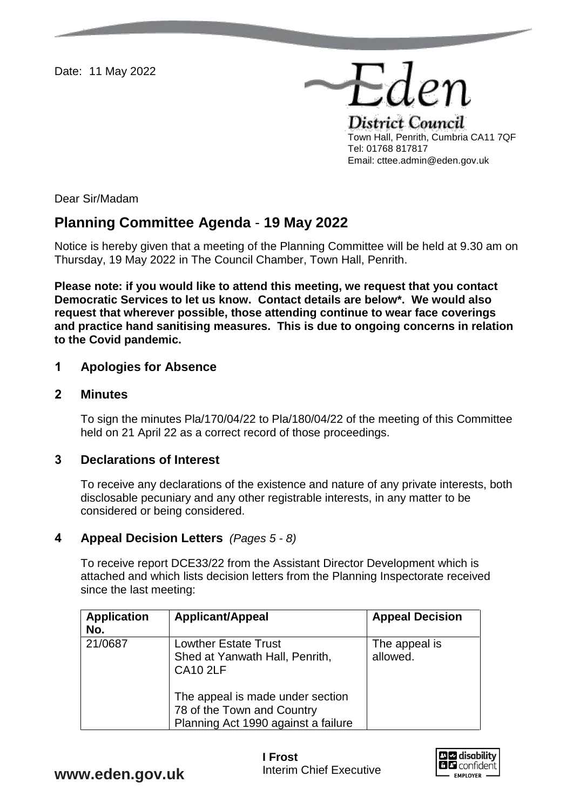Date: 11 May 2022

District Council Town Hall, Penrith, Cumbria CA11 7QF Tel: 01768 817817 Email: cttee.admin@eden.gov.uk

Eden

Dear Sir/Madam

# **Planning Committee Agenda** - **19 May 2022**

Notice is hereby given that a meeting of the Planning Committee will be held at 9.30 am on Thursday, 19 May 2022 in The Council Chamber, Town Hall, Penrith.

**Please note: if you would like to attend this meeting, we request that you contact Democratic Services to let us know. Contact details are below\*. We would also request that wherever possible, those attending continue to wear face coverings and practice hand sanitising measures. This is due to ongoing concerns in relation to the Covid pandemic.** 

#### **1 Apologies for Absence**

#### **2 Minutes**

To sign the minutes Pla/170/04/22 to Pla/180/04/22 of the meeting of this Committee held on 21 April 22 as a correct record of those proceedings.

## **3 Declarations of Interest**

To receive any declarations of the existence and nature of any private interests, both disclosable pecuniary and any other registrable interests, in any matter to be considered or being considered.

### **4 Appeal Decision Letters** *(Pages 5 - 8)*

To receive report DCE33/22 from the Assistant Director Development which is attached and which lists decision letters from the Planning Inspectorate received since the last meeting:

| <b>Application</b><br>No. | <b>Applicant/Appeal</b>                                                                               | <b>Appeal Decision</b>    |
|---------------------------|-------------------------------------------------------------------------------------------------------|---------------------------|
| 21/0687                   | <b>Lowther Estate Trust</b><br>Shed at Yanwath Hall, Penrith,<br><b>CA10 2LF</b>                      | The appeal is<br>allowed. |
|                           | The appeal is made under section<br>78 of the Town and Country<br>Planning Act 1990 against a failure |                           |



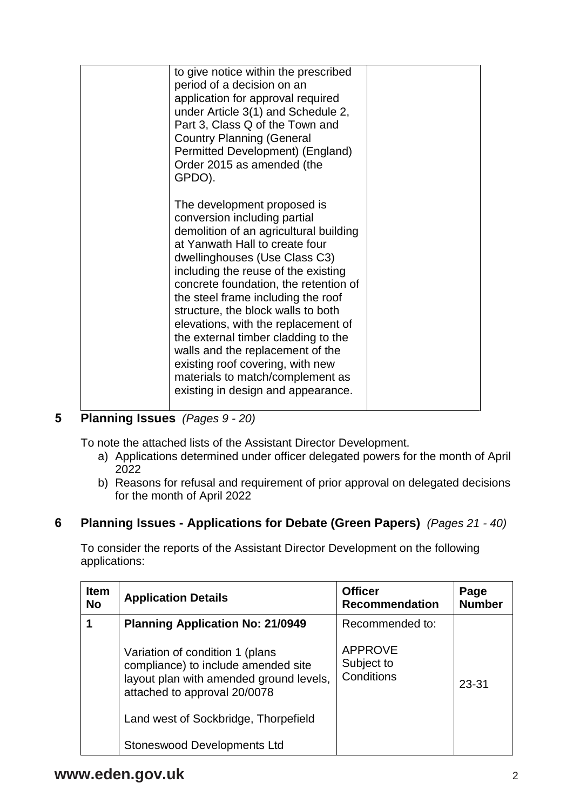| to give notice within the prescribed<br>period of a decision on an<br>application for approval required<br>under Article 3(1) and Schedule 2,<br>Part 3, Class Q of the Town and<br><b>Country Planning (General</b><br>Permitted Development) (England)<br>Order 2015 as amended (the<br>GPDO).                                                                                                                                                                                                                                                                     |  |
|----------------------------------------------------------------------------------------------------------------------------------------------------------------------------------------------------------------------------------------------------------------------------------------------------------------------------------------------------------------------------------------------------------------------------------------------------------------------------------------------------------------------------------------------------------------------|--|
| The development proposed is<br>conversion including partial<br>demolition of an agricultural building<br>at Yanwath Hall to create four<br>dwellinghouses (Use Class C3)<br>including the reuse of the existing<br>concrete foundation, the retention of<br>the steel frame including the roof<br>structure, the block walls to both<br>elevations, with the replacement of<br>the external timber cladding to the<br>walls and the replacement of the<br>existing roof covering, with new<br>materials to match/complement as<br>existing in design and appearance. |  |

# **5 Planning Issues** *(Pages 9 - 20)*

To note the attached lists of the Assistant Director Development.

- a) Applications determined under officer delegated powers for the month of April 2022
- b) Reasons for refusal and requirement of prior approval on delegated decisions for the month of April 2022

## **6 Planning Issues - Applications for Debate (Green Papers)** *(Pages 21 - 40)*

To consider the reports of the Assistant Director Development on the following applications:

| <b>Item</b><br><b>No</b> | <b>Application Details</b>                                                                                                                        | <b>Officer</b><br><b>Recommendation</b>    | Page<br><b>Number</b> |
|--------------------------|---------------------------------------------------------------------------------------------------------------------------------------------------|--------------------------------------------|-----------------------|
|                          | <b>Planning Application No: 21/0949</b>                                                                                                           | Recommended to:                            |                       |
|                          | Variation of condition 1 (plans<br>compliance) to include amended site<br>layout plan with amended ground levels,<br>attached to approval 20/0078 | <b>APPROVE</b><br>Subject to<br>Conditions | 23-31                 |
|                          | Land west of Sockbridge, Thorpefield                                                                                                              |                                            |                       |
|                          | Stoneswood Developments Ltd                                                                                                                       |                                            |                       |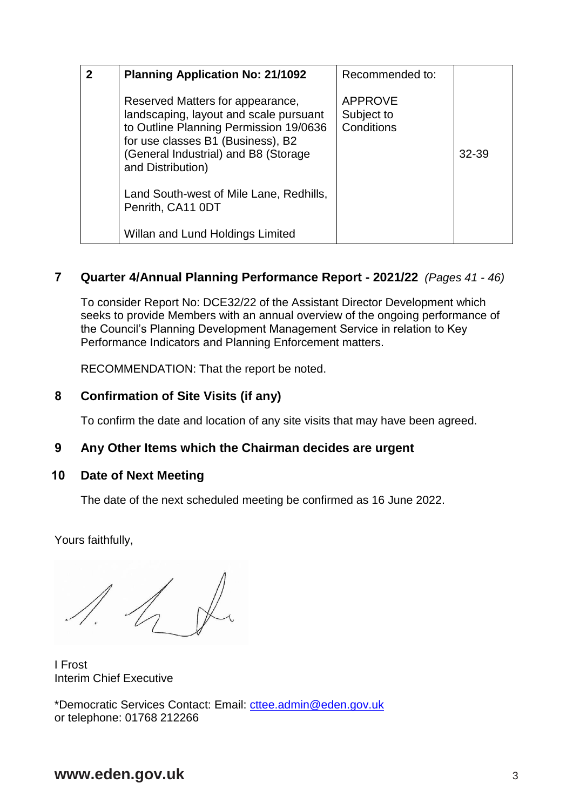| $\overline{2}$ | <b>Planning Application No: 21/1092</b>                                                                                                                                                                                | Recommended to:                            |       |
|----------------|------------------------------------------------------------------------------------------------------------------------------------------------------------------------------------------------------------------------|--------------------------------------------|-------|
|                | Reserved Matters for appearance,<br>landscaping, layout and scale pursuant<br>to Outline Planning Permission 19/0636<br>for use classes B1 (Business), B2<br>(General Industrial) and B8 (Storage<br>and Distribution) | <b>APPROVE</b><br>Subject to<br>Conditions | 32-39 |
|                | Land South-west of Mile Lane, Redhills,<br>Penrith, CA11 0DT                                                                                                                                                           |                                            |       |
|                | Willan and Lund Holdings Limited                                                                                                                                                                                       |                                            |       |

## **7 Quarter 4/Annual Planning Performance Report - 2021/22** *(Pages 41 - 46)*

To consider Report No: DCE32/22 of the Assistant Director Development which seeks to provide Members with an annual overview of the ongoing performance of the Council's Planning Development Management Service in relation to Key Performance Indicators and Planning Enforcement matters.

RECOMMENDATION: That the report be noted.

## **8 Confirmation of Site Visits (if any)**

To confirm the date and location of any site visits that may have been agreed.

### **9 Any Other Items which the Chairman decides are urgent**

### **10 Date of Next Meeting**

The date of the next scheduled meeting be confirmed as 16 June 2022.

Yours faithfully,

I Frost Interim Chief Executive

\*Democratic Services Contact: Email: [cttee.admin@eden.gov.uk](mailto:cttee.admin@eden.gov.uk) or telephone: 01768 212266

## **www.eden.gov.uk** 3